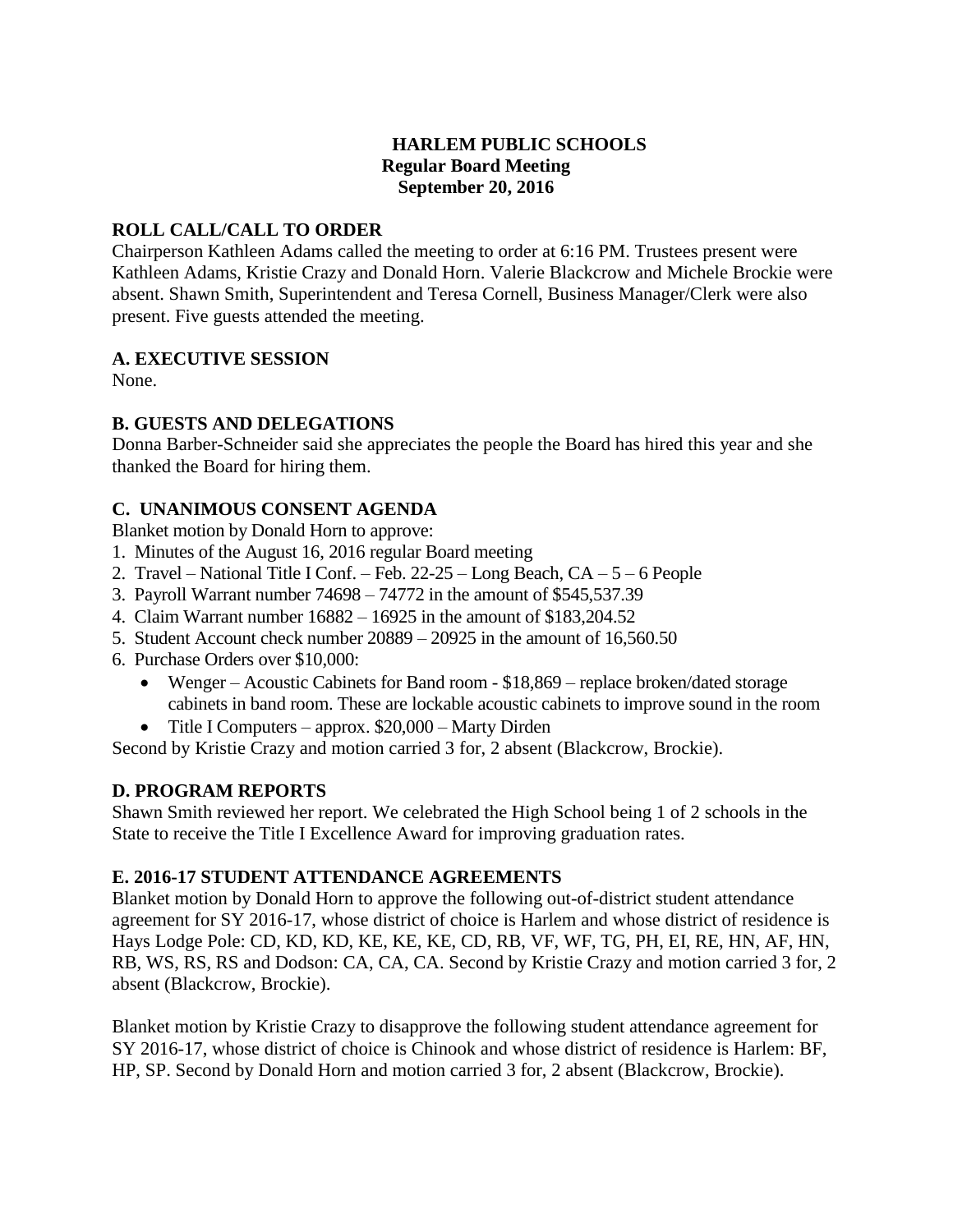## **HARLEM PUBLIC SCHOOLS Regular Board Meeting September 20, 2016**

## **ROLL CALL/CALL TO ORDER**

Chairperson Kathleen Adams called the meeting to order at 6:16 PM. Trustees present were Kathleen Adams, Kristie Crazy and Donald Horn. Valerie Blackcrow and Michele Brockie were absent. Shawn Smith, Superintendent and Teresa Cornell, Business Manager/Clerk were also present. Five guests attended the meeting.

## **A. EXECUTIVE SESSION**

None.

## **B. GUESTS AND DELEGATIONS**

Donna Barber-Schneider said she appreciates the people the Board has hired this year and she thanked the Board for hiring them.

## **C. UNANIMOUS CONSENT AGENDA**

Blanket motion by Donald Horn to approve:

- 1. Minutes of the August 16, 2016 regular Board meeting
- 2. Travel National Title I Conf. Feb.  $22-25$  Long Beach,  $CA 5 6$  People
- 3. Payroll Warrant number 74698 74772 in the amount of \$545,537.39
- 4. Claim Warrant number 16882 16925 in the amount of \$183,204.52
- 5. Student Account check number 20889 20925 in the amount of 16,560.50
- 6. Purchase Orders over \$10,000:
	- Wenger Acoustic Cabinets for Band room \$18,869 replace broken/dated storage cabinets in band room. These are lockable acoustic cabinets to improve sound in the room
	- Title I Computers approx. \$20,000 Marty Dirden

Second by Kristie Crazy and motion carried 3 for, 2 absent (Blackcrow, Brockie).

# **D. PROGRAM REPORTS**

Shawn Smith reviewed her report. We celebrated the High School being 1 of 2 schools in the State to receive the Title I Excellence Award for improving graduation rates.

# **E. 2016-17 STUDENT ATTENDANCE AGREEMENTS**

Blanket motion by Donald Horn to approve the following out-of-district student attendance agreement for SY 2016-17, whose district of choice is Harlem and whose district of residence is Hays Lodge Pole: CD, KD, KD, KE, KE, KE, CD, RB, VF, WF, TG, PH, EI, RE, HN, AF, HN, RB, WS, RS, RS and Dodson: CA, CA, CA. Second by Kristie Crazy and motion carried 3 for, 2 absent (Blackcrow, Brockie).

Blanket motion by Kristie Crazy to disapprove the following student attendance agreement for SY 2016-17, whose district of choice is Chinook and whose district of residence is Harlem: BF, HP, SP. Second by Donald Horn and motion carried 3 for, 2 absent (Blackcrow, Brockie).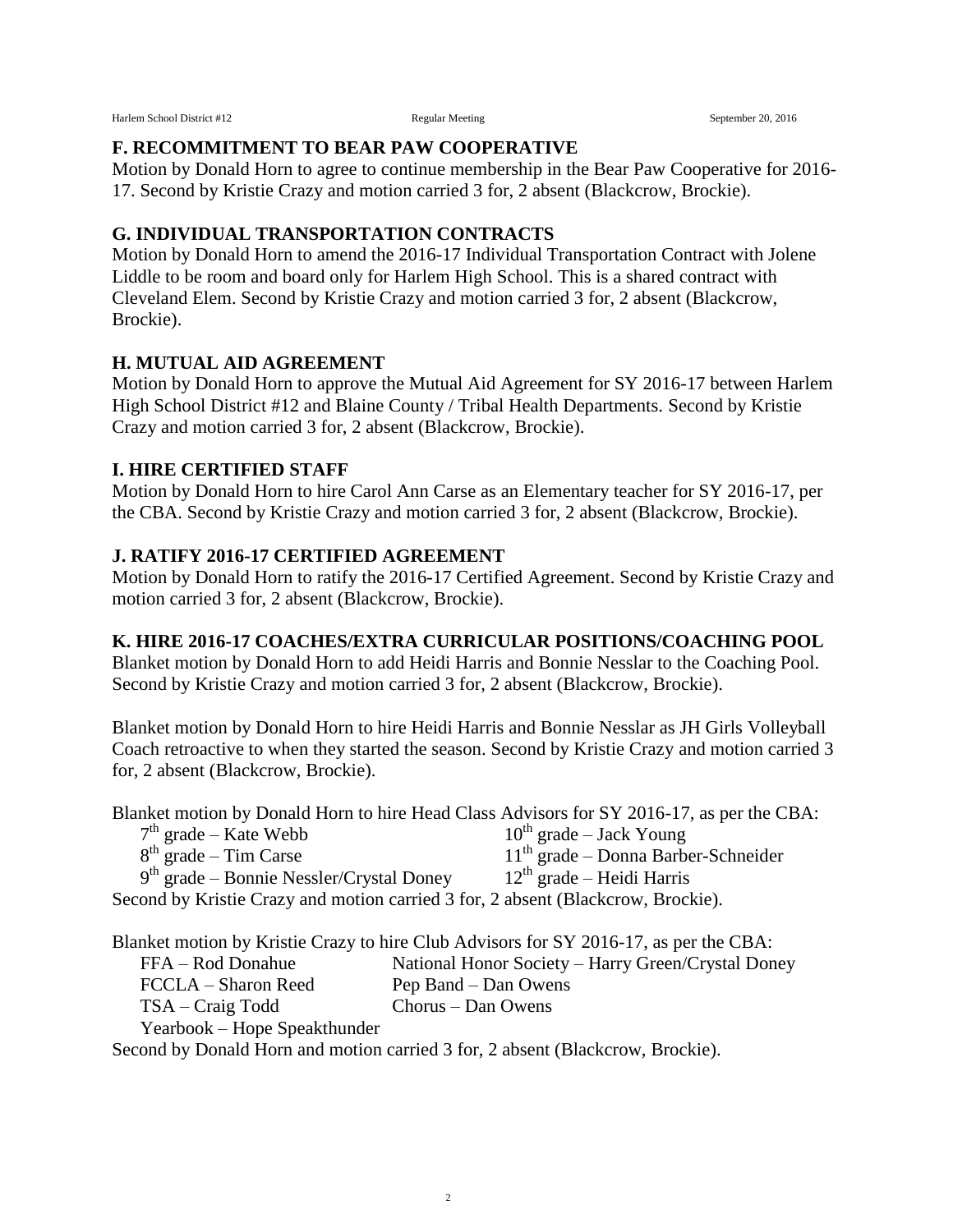#### **F. RECOMMITMENT TO BEAR PAW COOPERATIVE**

Motion by Donald Horn to agree to continue membership in the Bear Paw Cooperative for 2016- 17. Second by Kristie Crazy and motion carried 3 for, 2 absent (Blackcrow, Brockie).

#### **G. INDIVIDUAL TRANSPORTATION CONTRACTS**

Motion by Donald Horn to amend the 2016-17 Individual Transportation Contract with Jolene Liddle to be room and board only for Harlem High School. This is a shared contract with Cleveland Elem. Second by Kristie Crazy and motion carried 3 for, 2 absent (Blackcrow, Brockie).

#### **H. MUTUAL AID AGREEMENT**

Motion by Donald Horn to approve the Mutual Aid Agreement for SY 2016-17 between Harlem High School District #12 and Blaine County / Tribal Health Departments. Second by Kristie Crazy and motion carried 3 for, 2 absent (Blackcrow, Brockie).

#### **I. HIRE CERTIFIED STAFF**

Motion by Donald Horn to hire Carol Ann Carse as an Elementary teacher for SY 2016-17, per the CBA. Second by Kristie Crazy and motion carried 3 for, 2 absent (Blackcrow, Brockie).

#### **J. RATIFY 2016-17 CERTIFIED AGREEMENT**

Motion by Donald Horn to ratify the 2016-17 Certified Agreement. Second by Kristie Crazy and motion carried 3 for, 2 absent (Blackcrow, Brockie).

#### **K. HIRE 2016-17 COACHES/EXTRA CURRICULAR POSITIONS/COACHING POOL**

Blanket motion by Donald Horn to add Heidi Harris and Bonnie Nesslar to the Coaching Pool. Second by Kristie Crazy and motion carried 3 for, 2 absent (Blackcrow, Brockie).

Blanket motion by Donald Horn to hire Heidi Harris and Bonnie Nesslar as JH Girls Volleyball Coach retroactive to when they started the season. Second by Kristie Crazy and motion carried 3 for, 2 absent (Blackcrow, Brockie).

Blanket motion by Donald Horn to hire Head Class Advisors for SY 2016-17, as per the CBA:

| $7th$ grade – Kate Webb                                                          | $10^{th}$ grade – Jack Young          |
|----------------------------------------------------------------------------------|---------------------------------------|
| $8th$ grade – Tim Carse                                                          | $11th$ grade – Donna Barber-Schneider |
| $9th$ grade – Bonnie Nessler/Crystal Doney                                       | $12th$ grade – Heidi Harris           |
| Second by Kristie Crazy and motion carried 3 for, 2 absent (Blackcrow, Brockie). |                                       |

Blanket motion by Kristie Crazy to hire Club Advisors for SY 2016-17, as per the CBA: FFA – Rod Donahue National Honor Society – Harry Green/Crystal Doney FCCLA – Sharon Reed Pep Band – Dan Owens TSA – Craig Todd Chorus – Dan Owens Yearbook – Hope Speakthunder

Second by Donald Horn and motion carried 3 for, 2 absent (Blackcrow, Brockie).